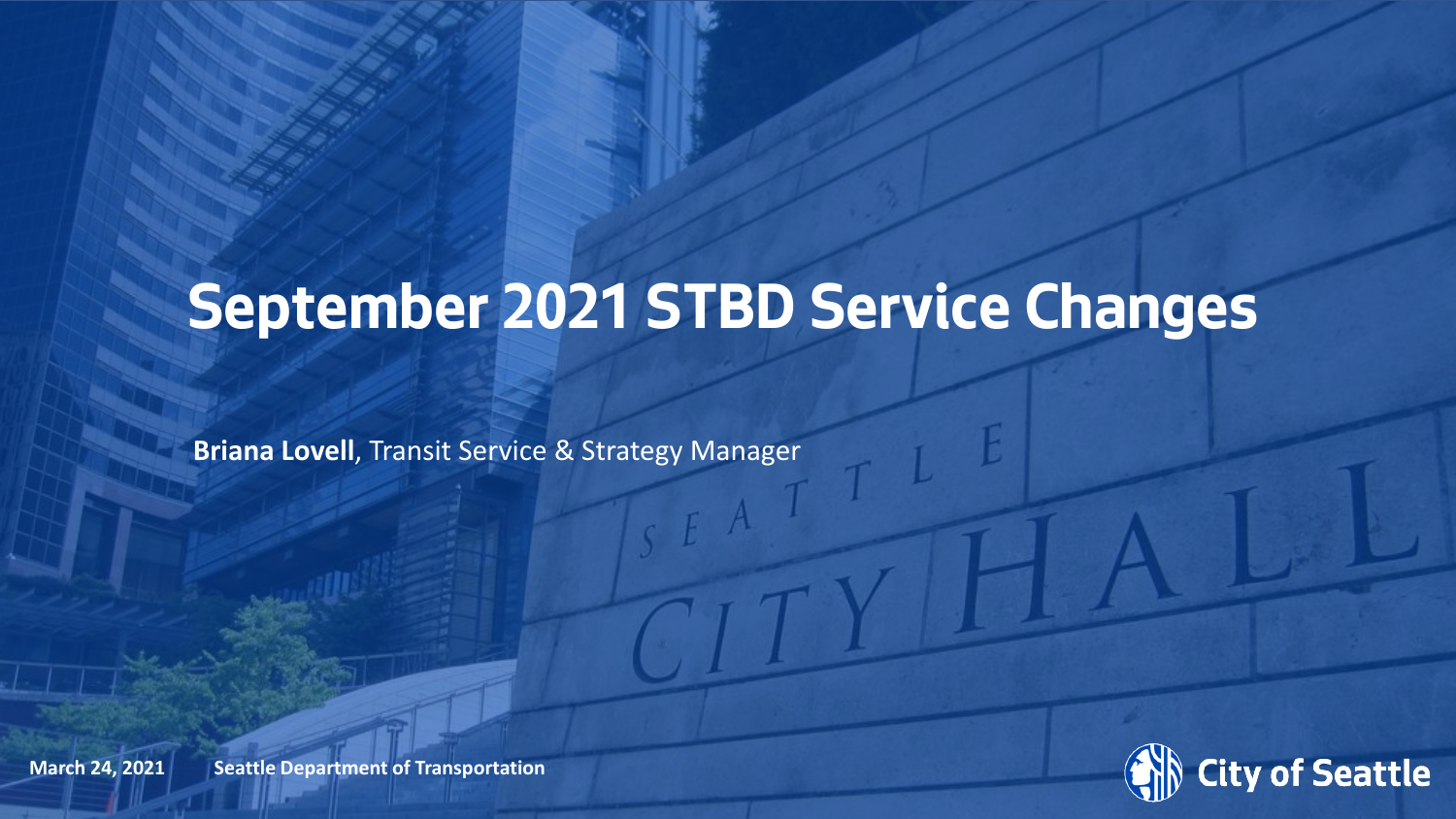### **September 2021 STBD Service Changes**

**Briana Lovell**, Transit Service & Strategy Manager



**March 24, 2021** Seattle Department of Transportation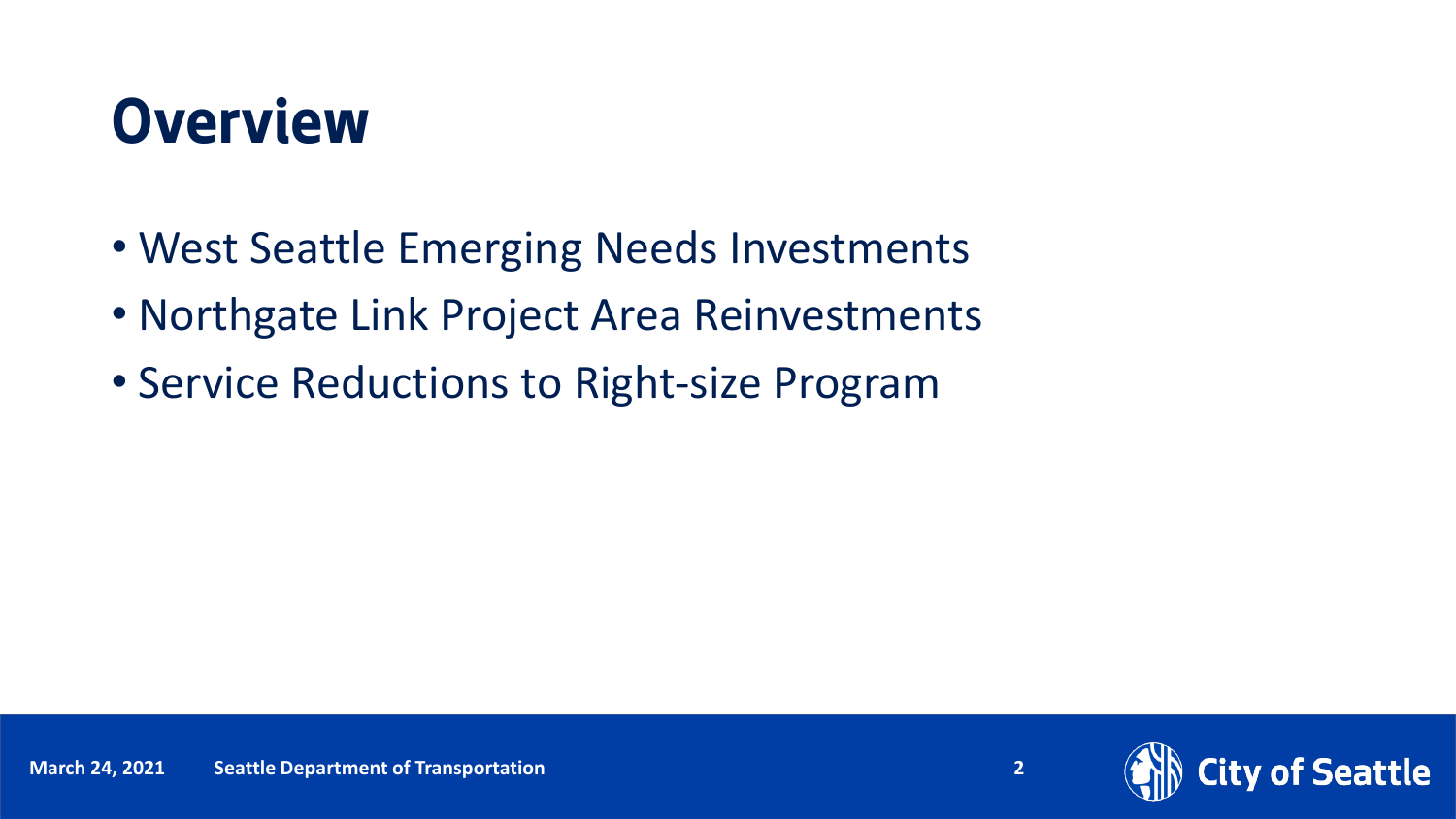### **Overview**

- West Seattle Emerging Needs Investments
- Northgate Link Project Area Reinvestments
- Service Reductions to Right-size Program

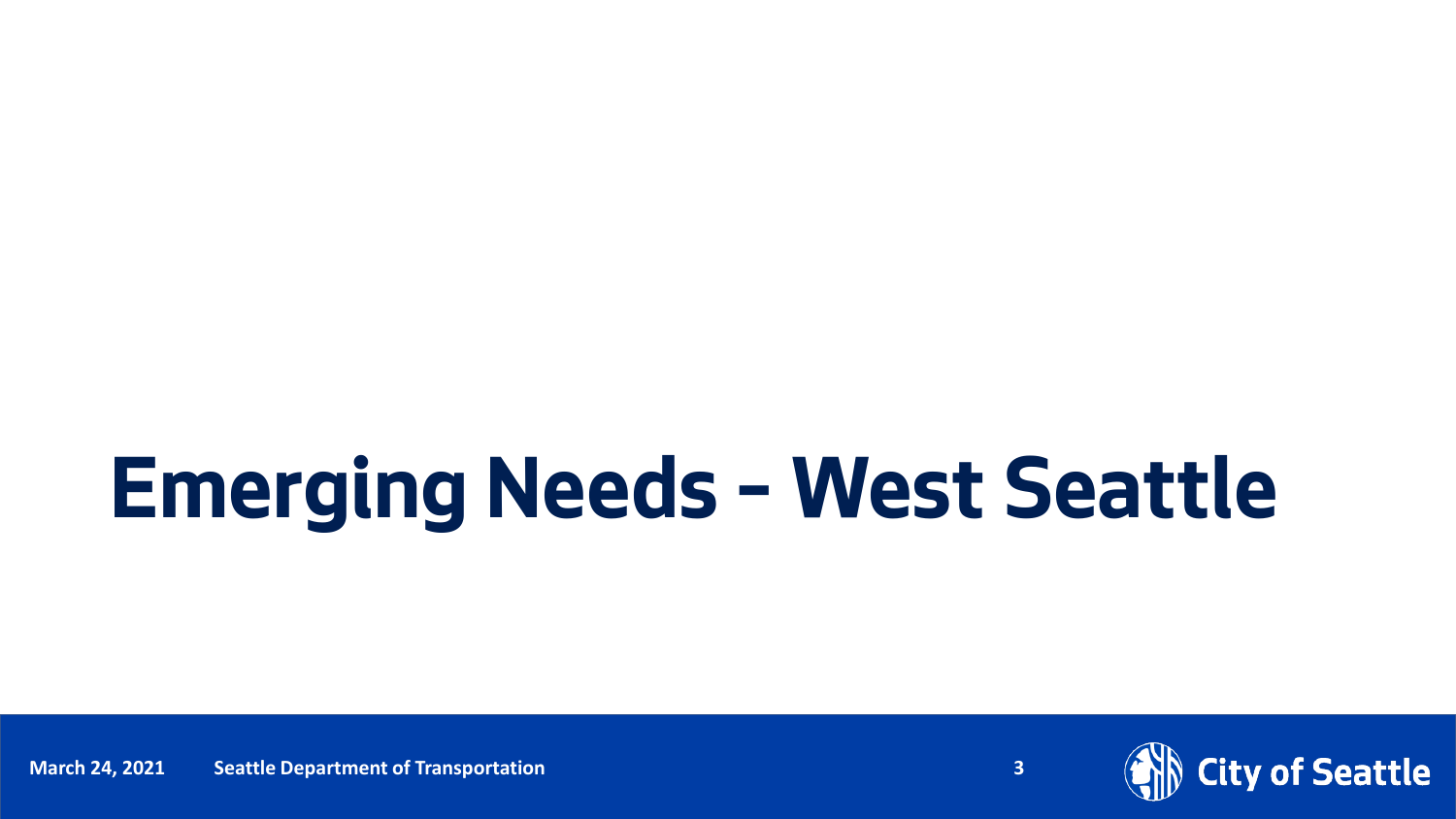### **Emerging Needs – West Seattle**

Date (xx/xx/ **March 24, 2021** xxxx) Department Name **Seattle Department of Transportation** Page Number **3**



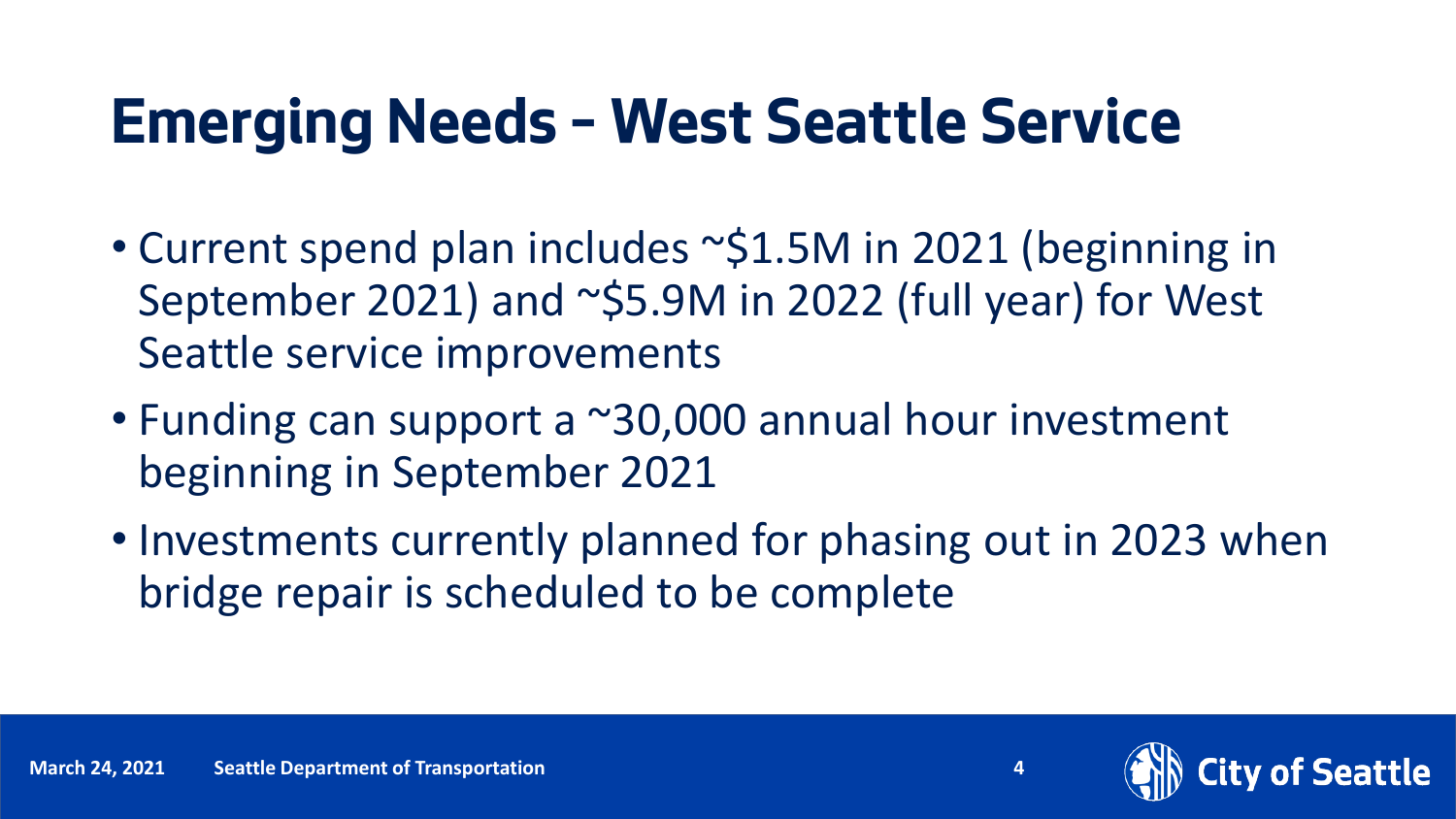- Current spend plan includes ~\$1.5M in 2021 (beginning in September 2021) and ~\$5.9M in 2022 (full year) for West Seattle service improvements
- Funding can support a ~30,000 annual hour investment beginning in September 2021
- Investments currently planned for phasing out in 2023 when bridge repair is scheduled to be complete

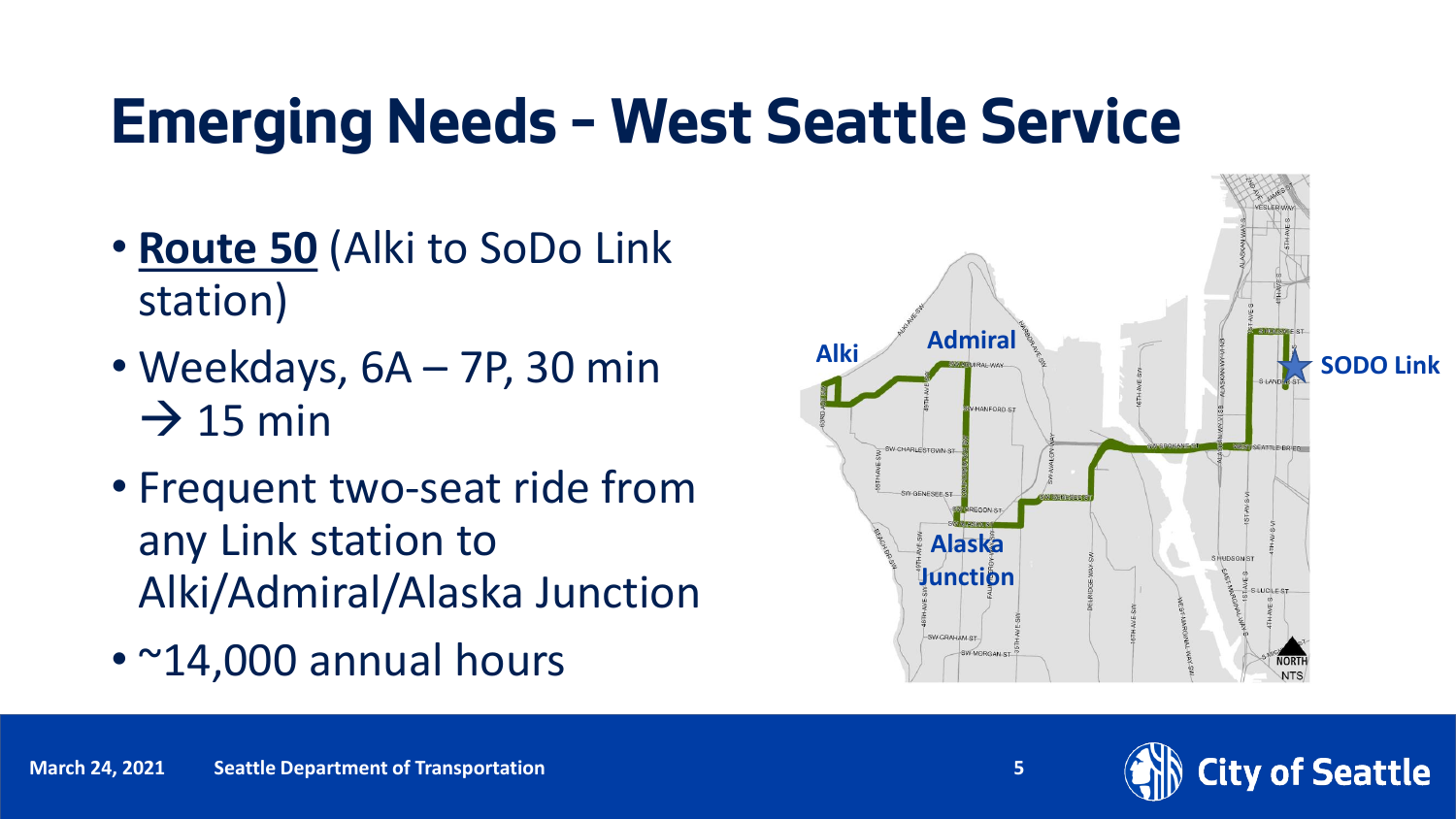- **Route 50** (Alki to SoDo Link station)
- Weekdays, 6A 7P, 30 min  $\rightarrow$  15 min
- Frequent two-seat ride from any Link station to Alki/Admiral/Alaska Junction
- ~14,000 annual hours



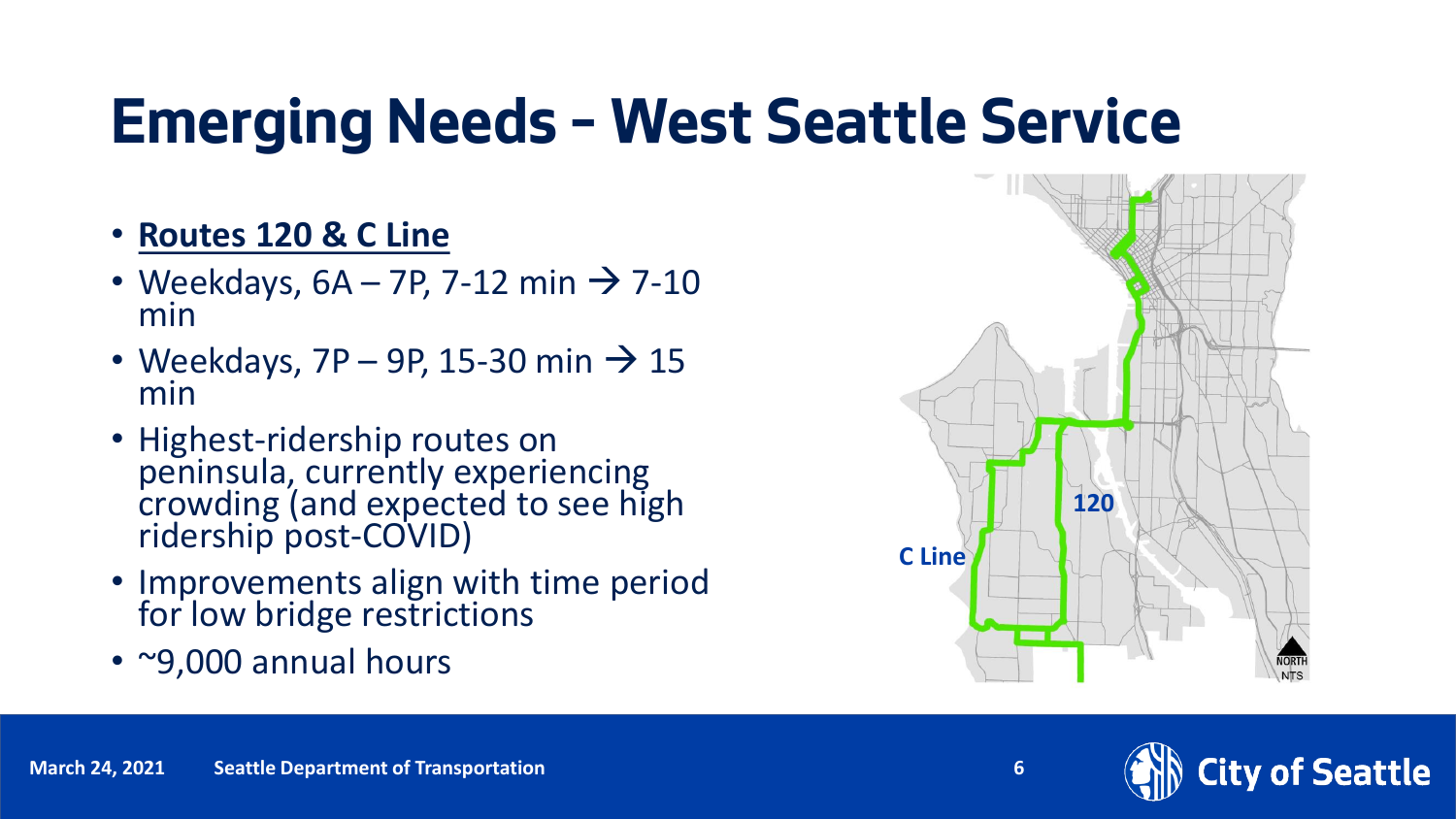- **Routes 120 & C Line**
- Weekdays,  $6A 7P$ , 7-12 min  $\rightarrow$  7-10 min
- Weekdays,  $7P 9P$ , 15-30 min  $\rightarrow$  15 min
- Highest-ridership routes on peninsula, currently experiencing crowding (and expected to see high ridership post-COVID)
- Improvements align with time period for low bridge restrictions
- ~9,000 annual hours



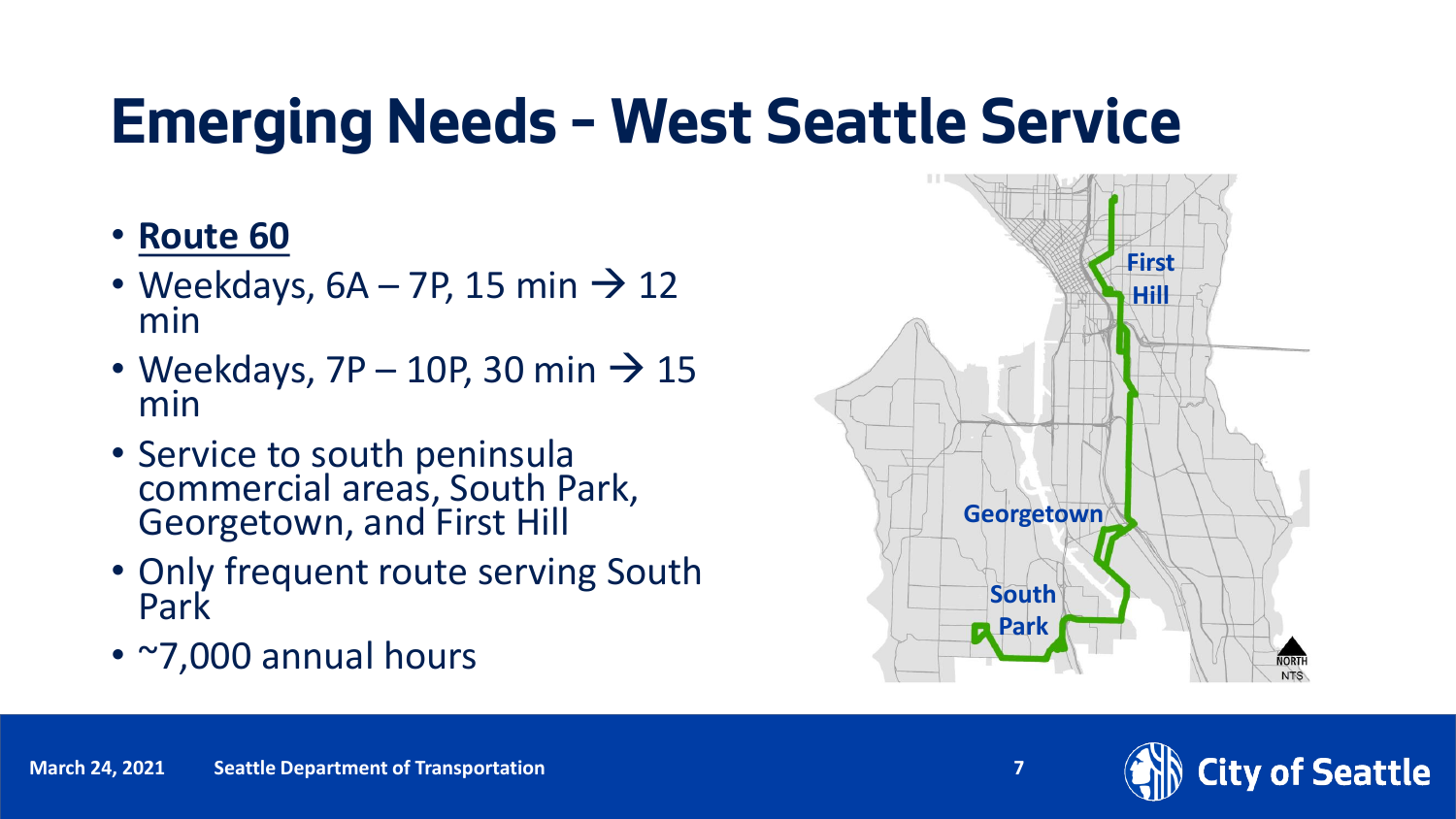- **Route 60**
- Weekdays,  $6A 7P$ , 15 min  $\rightarrow$  12 min
- Weekdays,  $7P 10P$ , 30 min  $\rightarrow$  15 min
- Service to south peninsula commercial areas, South Park, Georgetown, and First Hill
- Only frequent route serving South Park
- ~7,000 annual hours



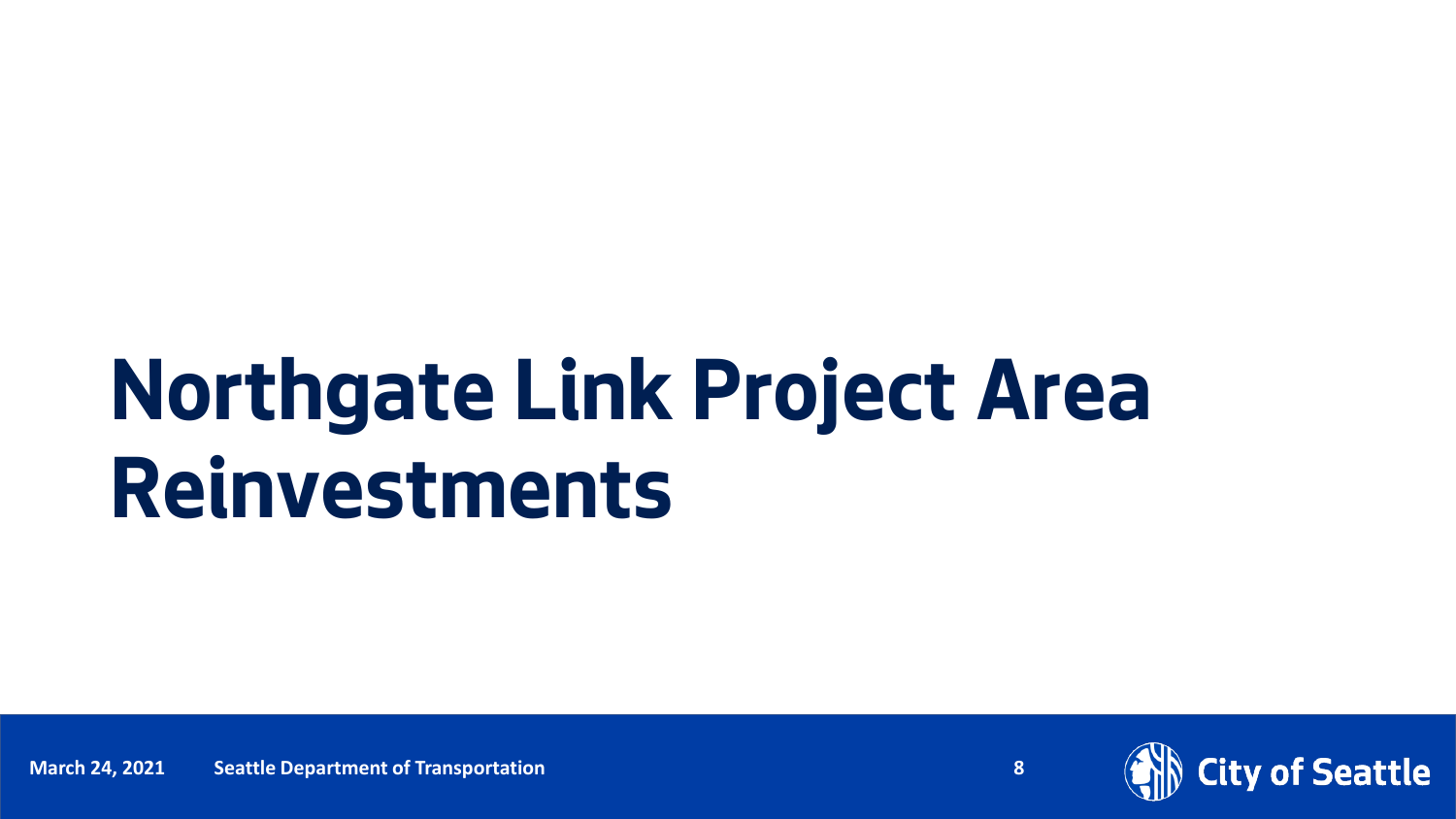## **Northgate Link Project Area Reinvestments**

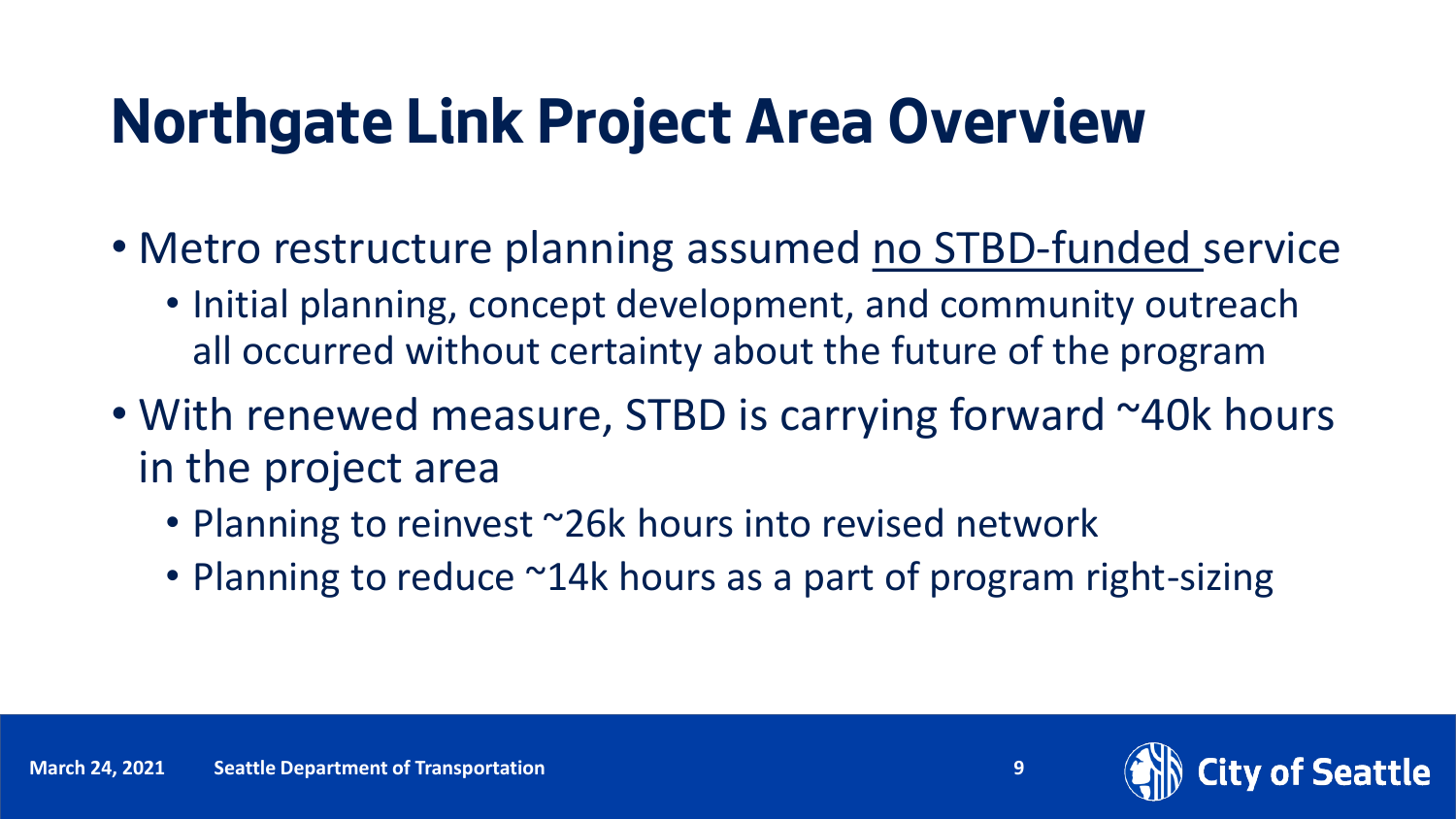### **Northgate Link Project Area Overview**

- Metro restructure planning assumed no STBD-funded service
	- Initial planning, concept development, and community outreach all occurred without certainty about the future of the program
- With renewed measure, STBD is carrying forward ~40k hours in the project area
	- Planning to reinvest ~26k hours into revised network
	- Planning to reduce ~14k hours as a part of program right-sizing

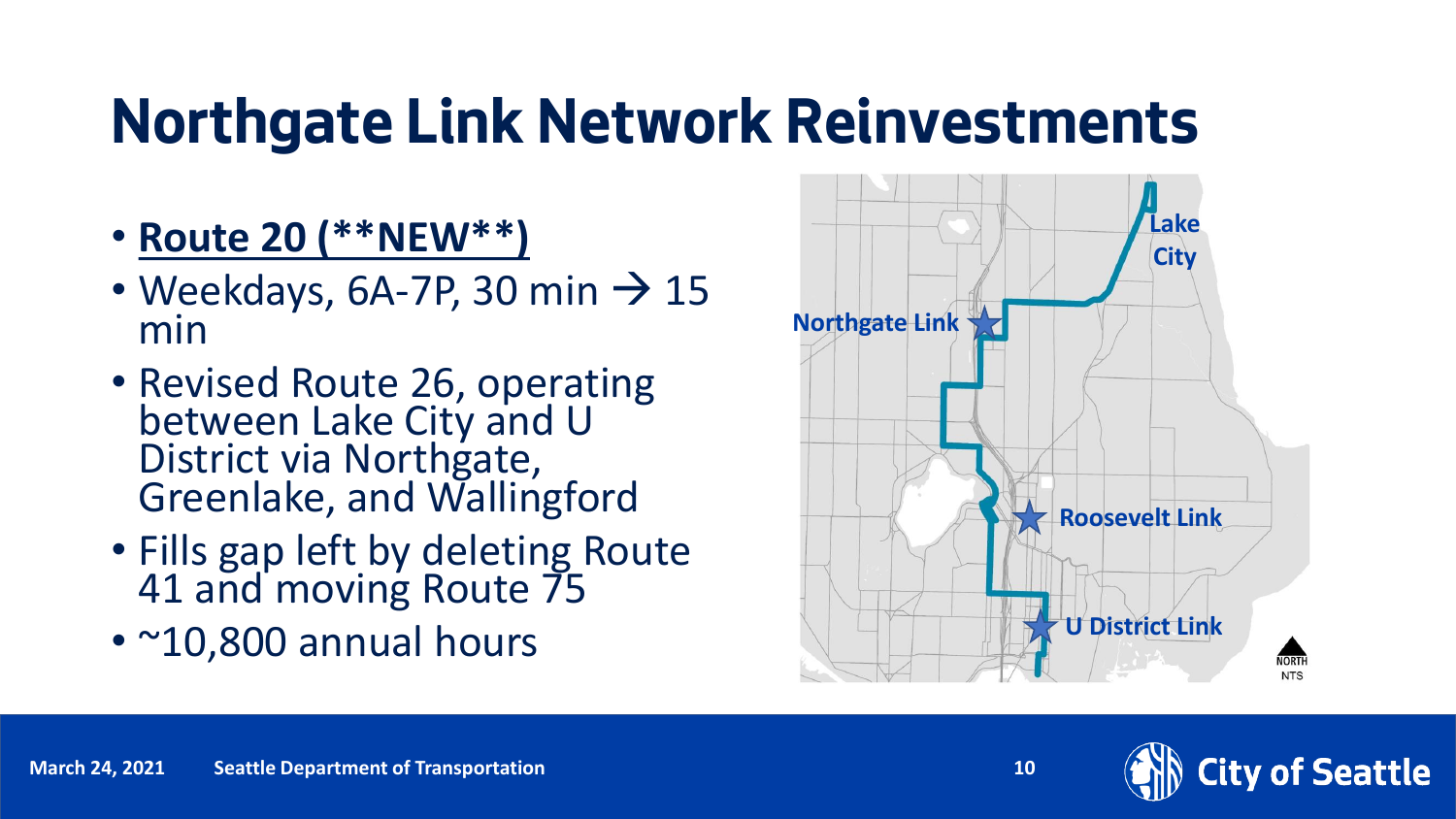### **Northgate Link Network Reinvestments**

- **Route 20 (\*\*NEW\*\*)**
- Weekdays, 6A-7P, 30 min  $\rightarrow$  15 min
- Revised Route 26, operating between Lake City and U District via Northgate, Greenlake, and Wallingford
- Fills gap left by deleting Route 41 and moving Route 75
- ~10,800 annual hours



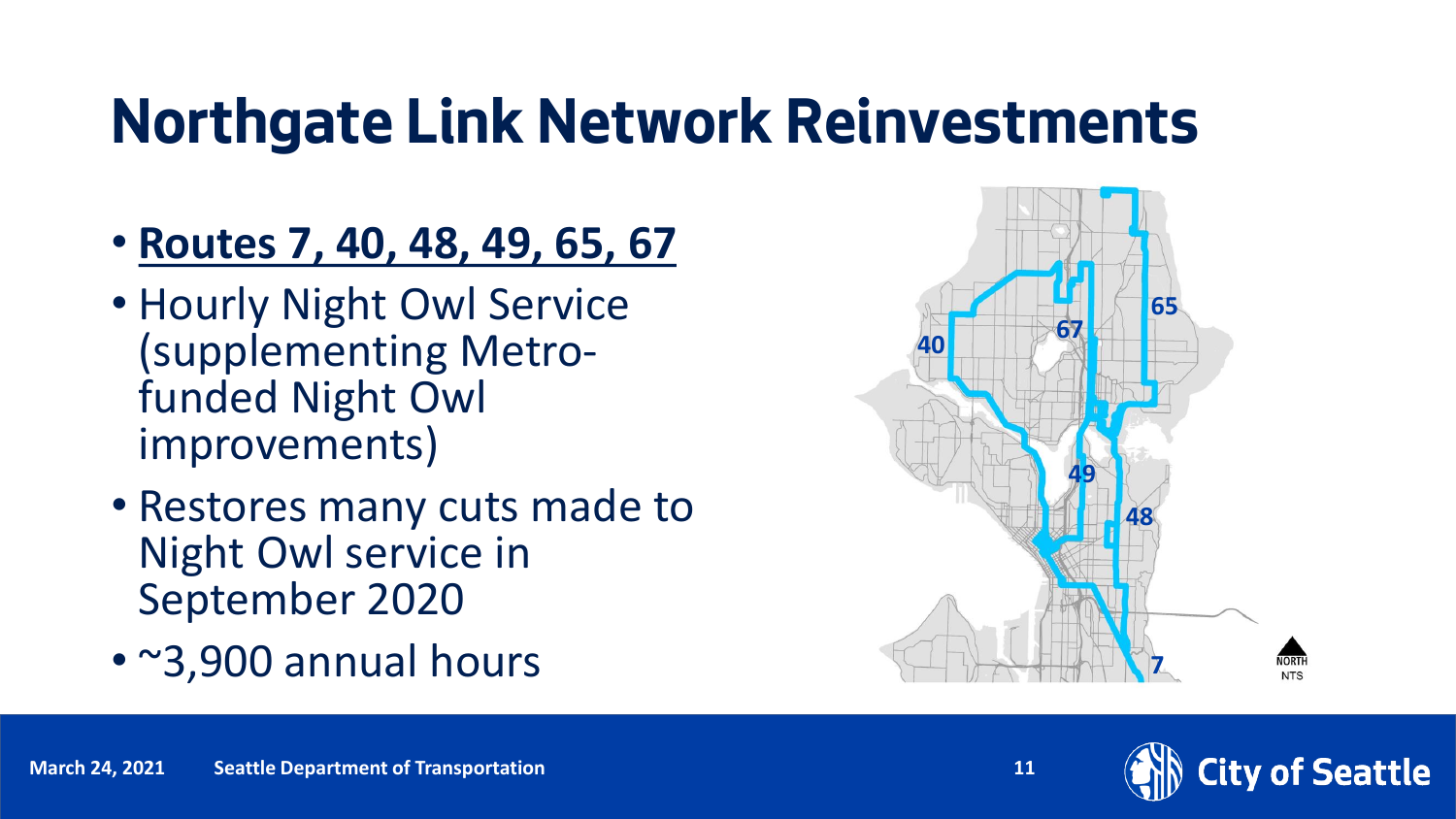### **Northgate Link Network Reinvestments**

- **Routes 7, 40, 48, 49, 65, 67**
- Hourly Night Owl Service (supplementing Metrofunded Night Owl improvements)
- Restores many cuts made to Night Owl service in September 2020
- ~3,900 annual hours



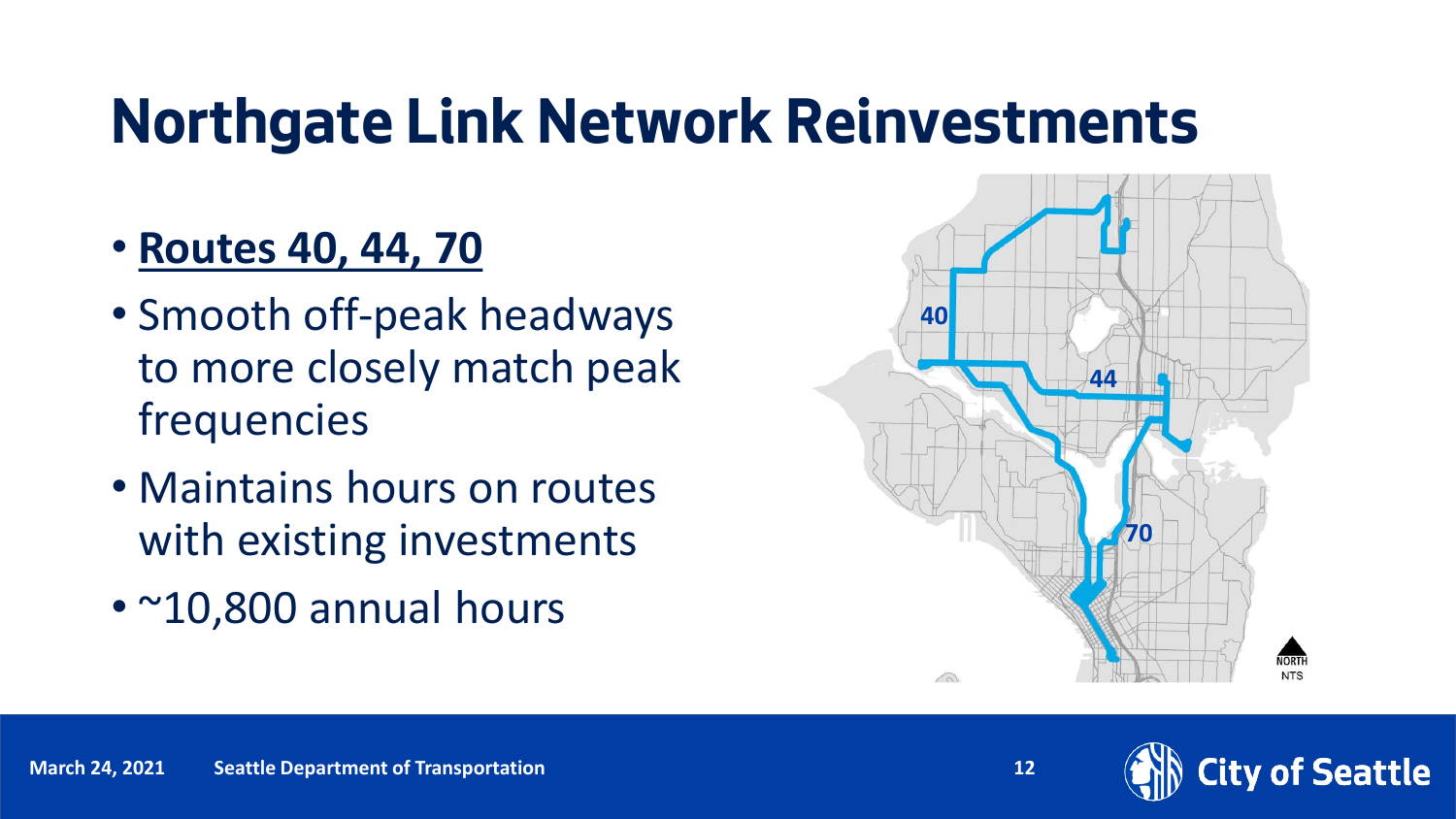### **Northgate Link Network Reinvestments**

- **Routes 40, 44, 70**
- Smooth off-peak headways to more closely match peak frequencies
- Maintains hours on routes with existing investments
- ~10,800 annual hours



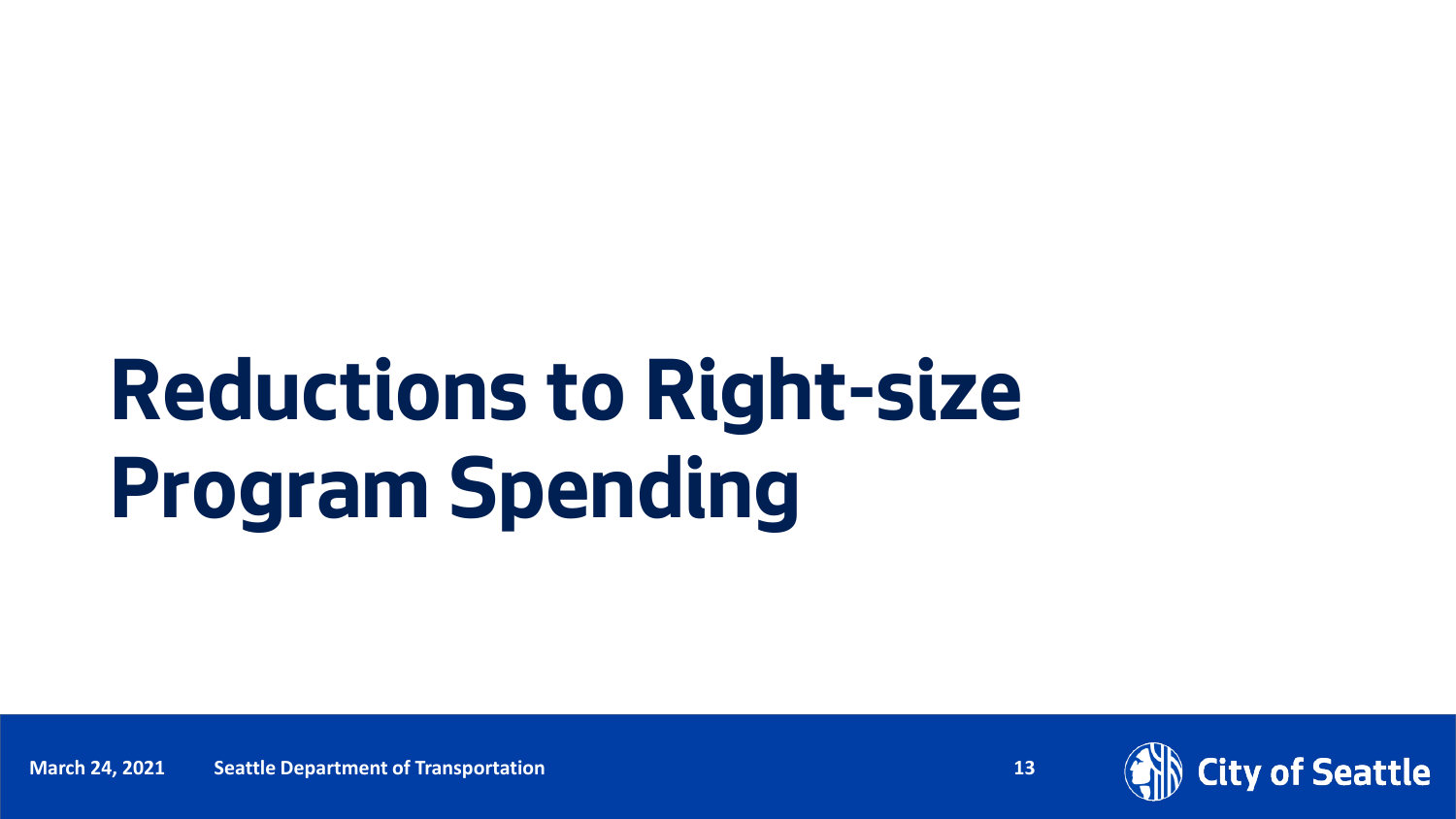# **Reductions to Right-size Program Spending**

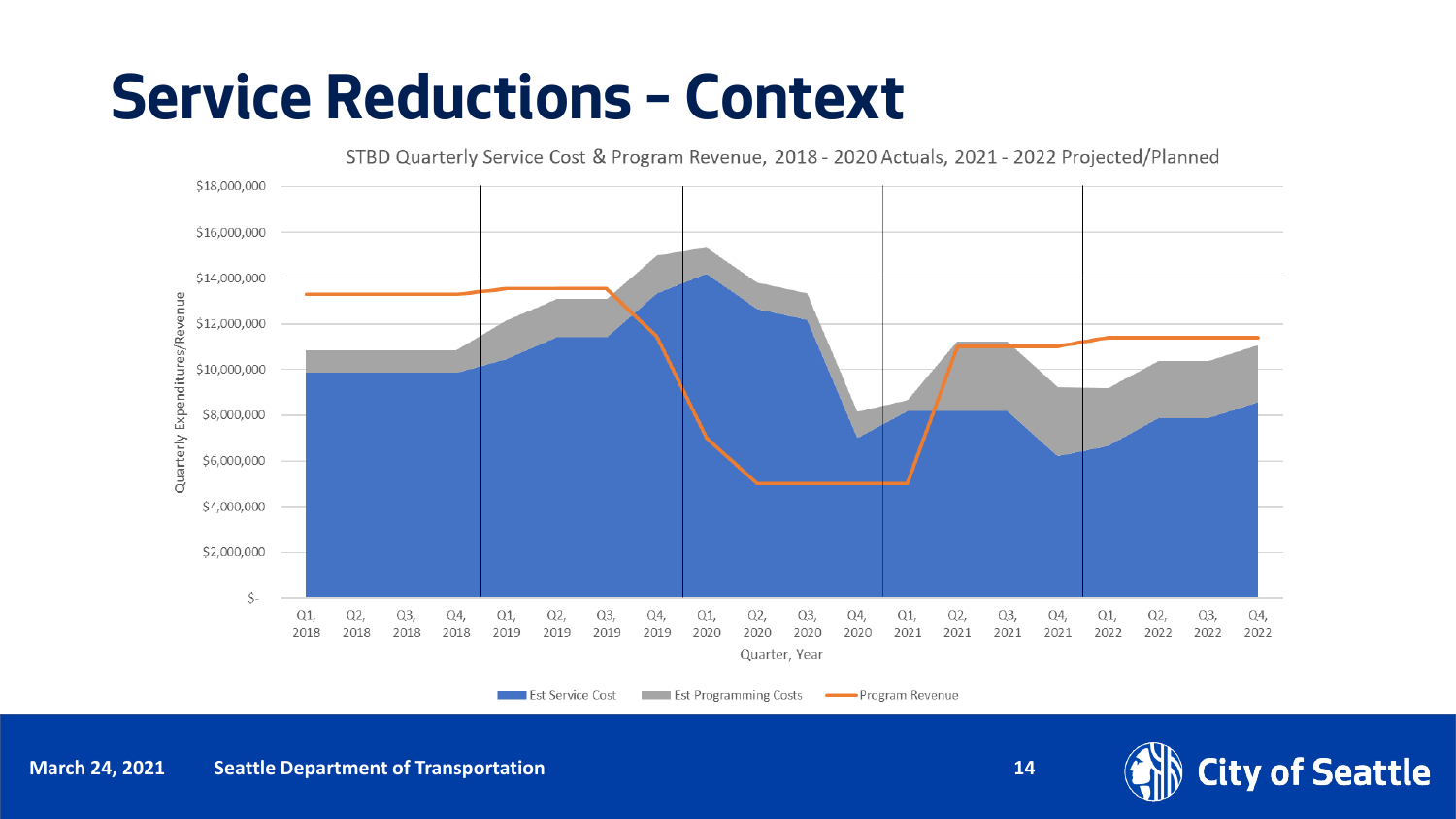#### **Service Reductions – Context**



**Est Service Cost Example 1** Est Programming Costs

Program Revenue



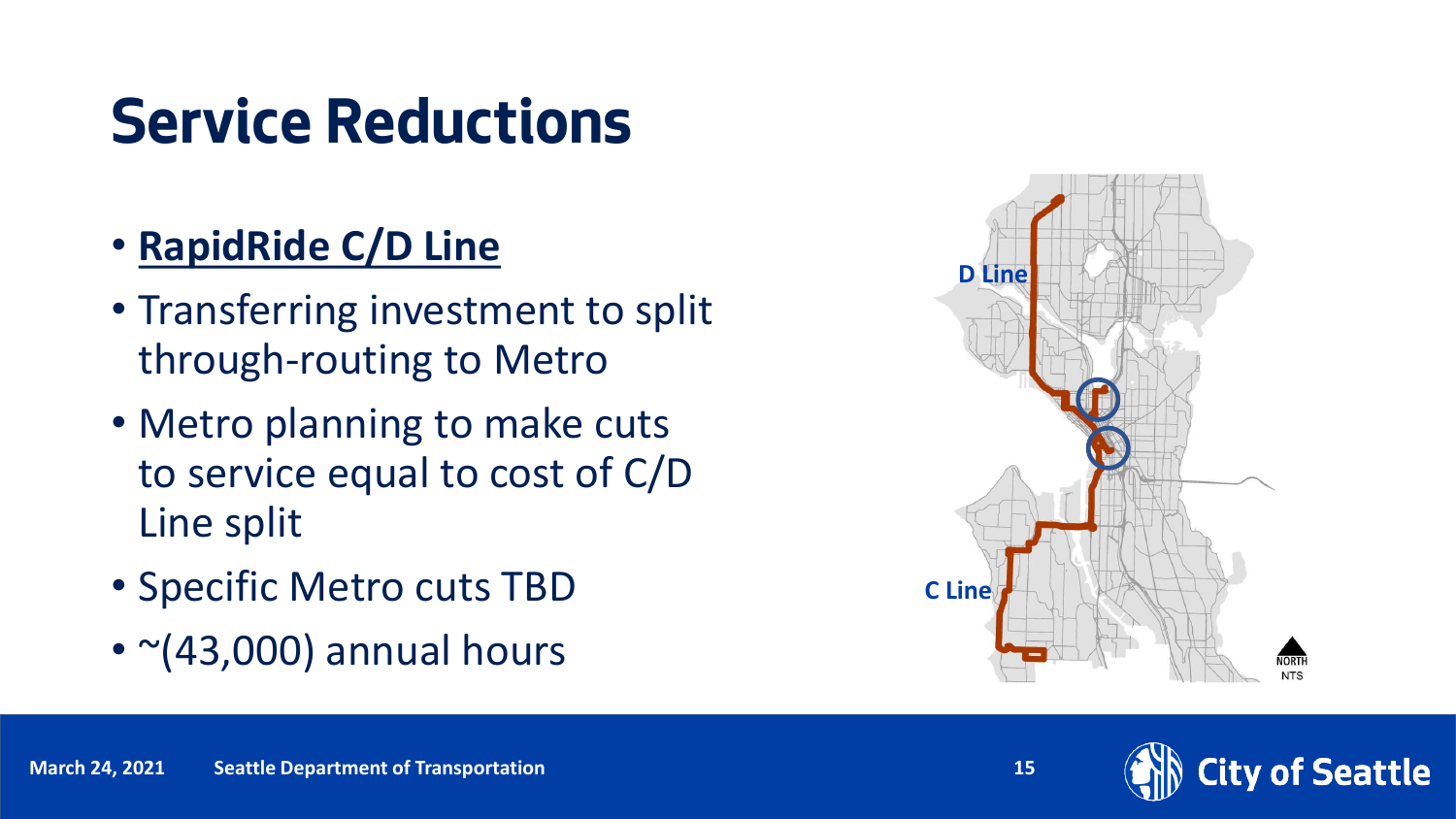- **RapidRide C/D Line**
- Transferring investment to split through-routing to Metro
- Metro planning to make cuts to service equal to cost of C/D Line split
- Specific Metro cuts TBD
- $\cdot$   $\sim$ (43,000) annual hours



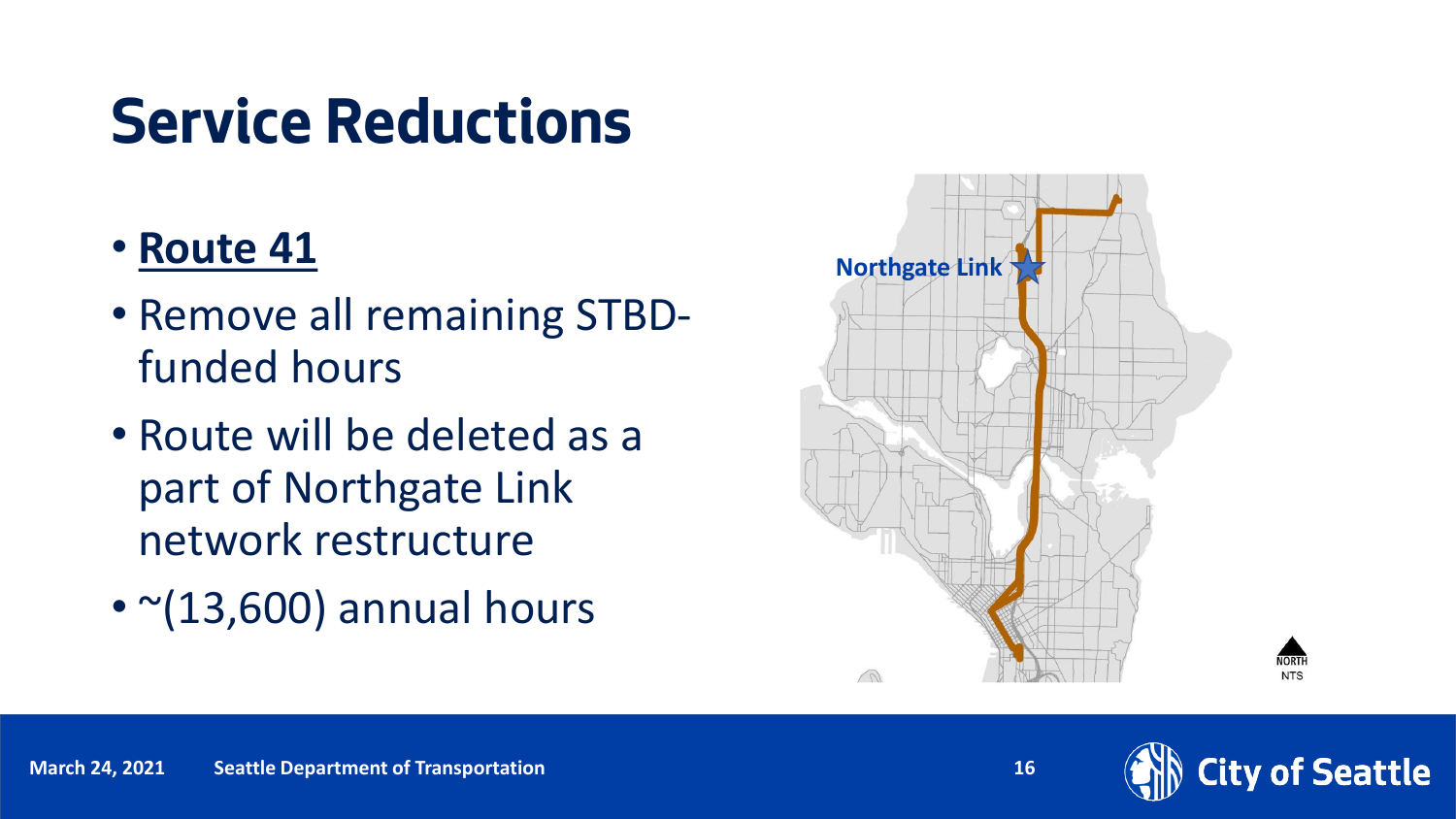#### • **Route 41**

- Remove all remaining STBDfunded hours
- Route will be deleted as a part of Northgate Link network restructure
- $\cdot$   $\sim$ (13,600) annual hours





NORTH

**NTS**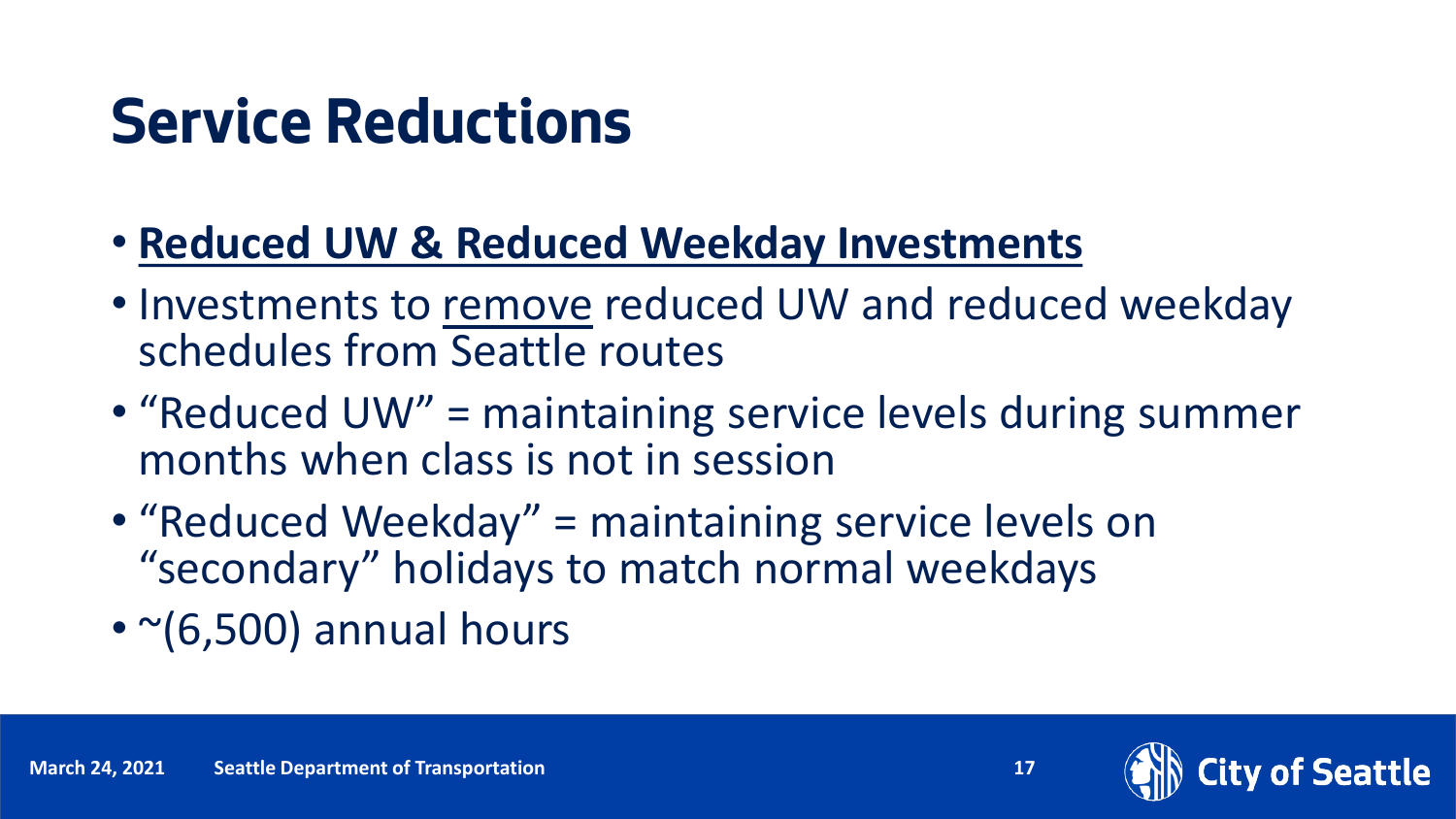- **Reduced UW & Reduced Weekday Investments**
- Investments to remove reduced UW and reduced weekday schedules from Seattle routes
- "Reduced UW" = maintaining service levels during summer months when class is not in session
- "Reduced Weekday" = maintaining service levels on "secondary" holidays to match normal weekdays
- $\cdot$   $\sim$  (6,500) annual hours

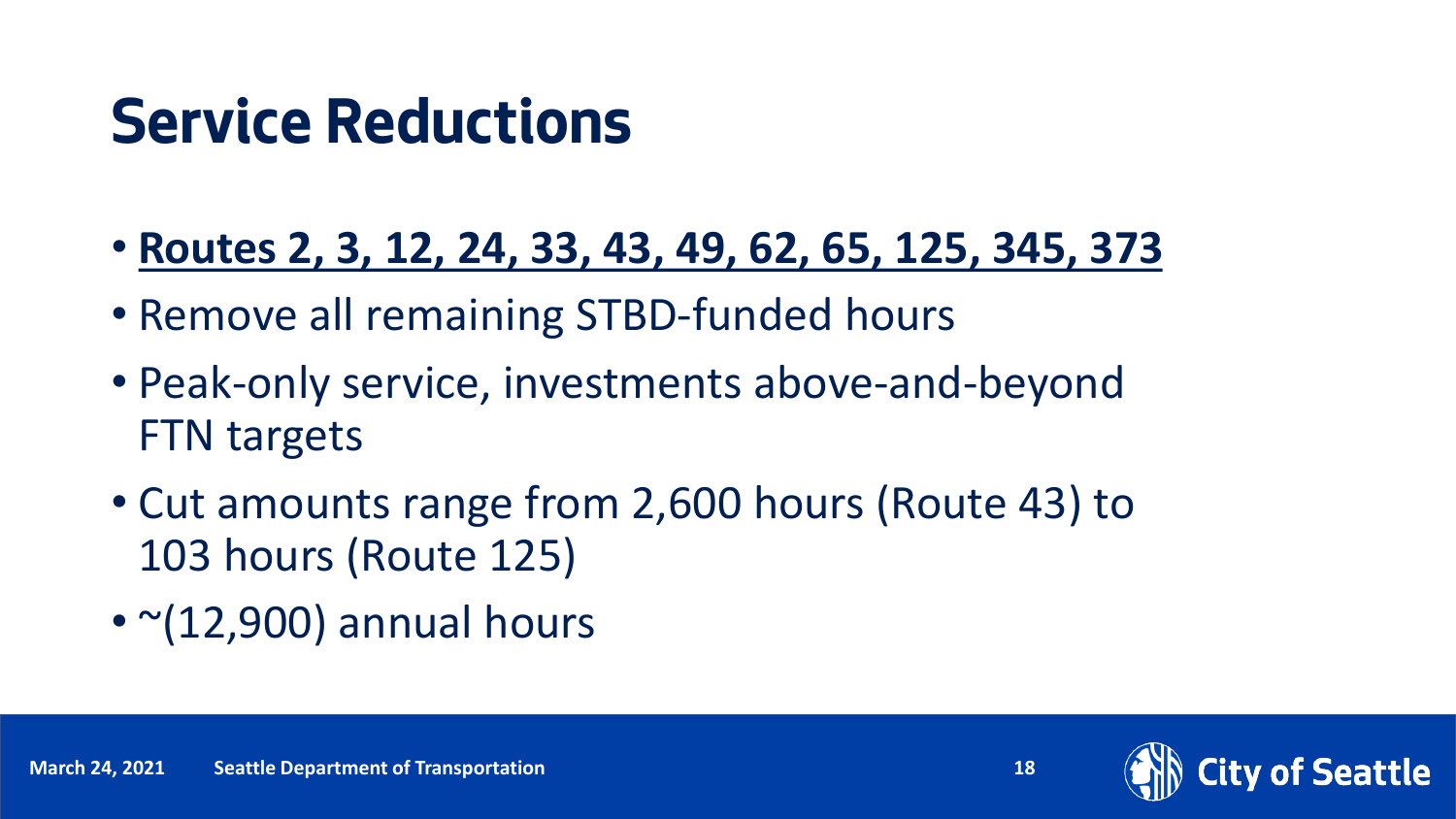- **Routes 2, 3, 12, 24, 33, 43, 49, 62, 65, 125, 345, 373**
- Remove all remaining STBD-funded hours
- Peak-only service, investments above-and-beyond FTN targets
- Cut amounts range from 2,600 hours (Route 43) to 103 hours (Route 125)
- $\cdot$   $\sim$ (12,900) annual hours

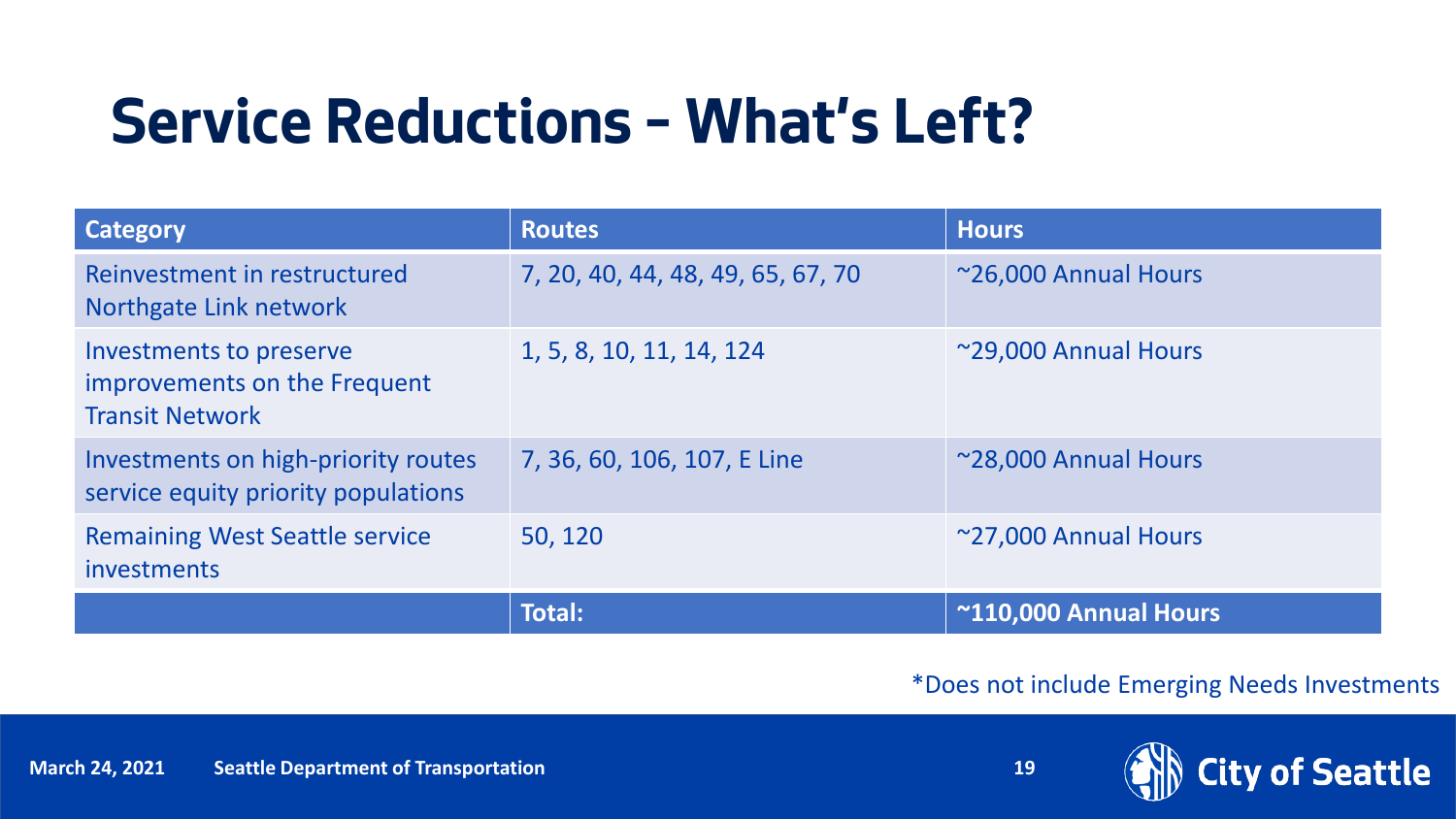### **Service Reductions – What's Left?**

| <b>Category</b>                                                                   | <b>Routes</b>                     | <b>Hours</b>          |
|-----------------------------------------------------------------------------------|-----------------------------------|-----------------------|
| Reinvestment in restructured<br>Northgate Link network                            | 7, 20, 40, 44, 48, 49, 65, 67, 70 | ~26,000 Annual Hours  |
| Investments to preserve<br>improvements on the Frequent<br><b>Transit Network</b> | 1, 5, 8, 10, 11, 14, 124          | ~29,000 Annual Hours  |
| Investments on high-priority routes<br>service equity priority populations        | 7, 36, 60, 106, 107, E Line       | ~28,000 Annual Hours  |
| <b>Remaining West Seattle service</b><br>investments                              | 50, 120                           | ~27,000 Annual Hours  |
|                                                                                   | <b>Total:</b>                     | ~110,000 Annual Hours |

#### \*Does not include Emerging Needs Investments